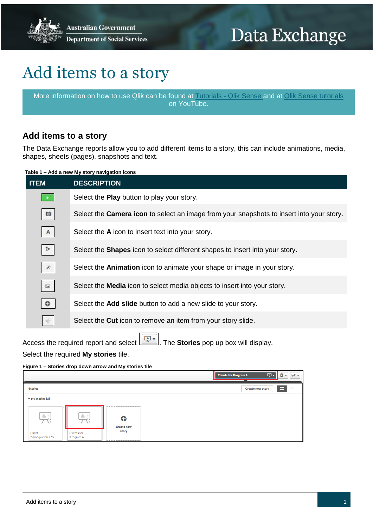**Australian Government Department of Social Services** 

# Data Exchange

## Add items to a story

More information on how to use Qlik can be found at [Tutorials -](https://help.qlik.com/en-US/sense/2.2/Content/Tutorials.htm) Qlik Sense and at [Qlik Sense tutorials](http://www.bing.com/videos/search?q=qlik+sense+tutorials+youtube&qpvt=qlik+sense+tutorials+youtube&FORM=VDRE) on YouTube.

### **Add items to a story**

The Data Exchange reports allow you to add different items to a story, this can include animations, media, shapes, sheets (pages), snapshots and text.

**Table 1 – Add a new My story navigation icons**

| <b>ITEM</b>                           | <b>DESCRIPTION</b>                                                                              |
|---------------------------------------|-------------------------------------------------------------------------------------------------|
|                                       | Select the <b>Play</b> button to play your story.                                               |
| ø                                     | Select the <b>Camera icon</b> to select an image from your snapshots to insert into your story. |
| $\mathsf{A}$                          | Select the A icon to insert text into your story.                                               |
| Z.                                    | Select the <b>Shapes</b> icon to select different shapes to insert into your story.             |
| B.                                    | Select the <b>Animation</b> icon to animate your shape or image in your story.                  |
| $\begin{array}{c} \hline \end{array}$ | Select the <b>Media</b> icon to select media objects to insert into your story.                 |
|                                       | Select the <b>Add slide</b> button to add a new slide to your story.                            |
|                                       | Select the <b>Cut</b> icon to remove an item from your story slide.                             |

Access the required report and select . The **Stories** pop up box will display.

Select the required **My stories** tile.

#### **Figure 1 – Stories drop down arrow and My stories tile**

|                                                               |                        | $\vert \mathbb{Q} \vert$<br>$\Box$<br>画<br><b>Clients for Program A</b><br>$\overline{\mathbf{v}}$ |
|---------------------------------------------------------------|------------------------|----------------------------------------------------------------------------------------------------|
| <b>Stories</b>                                                |                        | H<br>≣<br><b>Create new story</b>                                                                  |
| $\Psi$ My stories (2)                                         |                        |                                                                                                    |
| 山長<br>山長<br>$\overline{\phantom{a}}$                          | ⊕<br><b>Create new</b> |                                                                                                    |
| Client<br><b>Clients for</b><br>Program A<br>Demographics for | story                  |                                                                                                    |